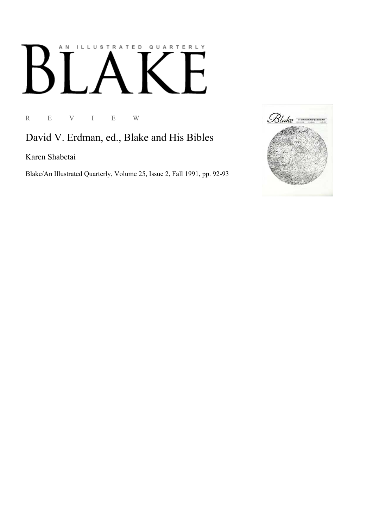## AN ILLUSTRATED QUARTERLY  $\llbracket$  $B$ F

R E V I E W

David V. Erdman, ed., Blake and His Bibles

Karen Shabetai

Blake/An Illustrated Quarterly, Volume 25, Issue 2, Fall 1991, pp. 92-93

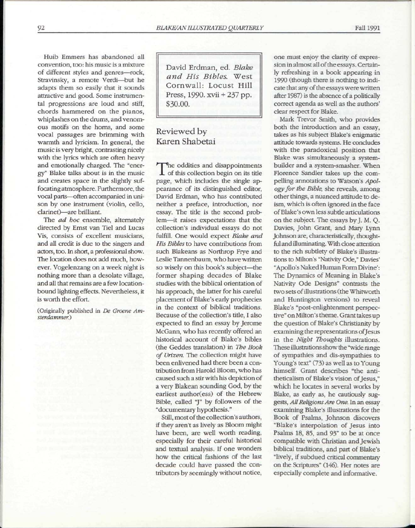Huib Emmers has abandoned all convention, too: his music is a mixture of different styles and genres—rock, Stravinsky, a remote Verdi—but he adapts them so easily that it sounds attractive and good. Some instrumental progressions are loud and stiff, chords hammered on the pianos, whiplashes on the drums, and venomous motifs on the horns, and some vocal passages are brimming with warmth and lyricism. In general, the music is very bright, contrasting nicely with the lyrics which are often heavy and emotionally charged. The "energy" Blake talks about is in the music and creates space in the slightly suffocating atmosphere. Furthermore, the vocal parts—often accompanied in unison by one instrument (violin, cello, clarinet)—are brilliant.

The *ad hoc* ensemble, alternately directed by Ernst van Tiel and Lucas Vis, consists of excellent musicians, and all credit is due to the singers and actors, too. In short, a professional show. The location does not add much, however. Vogelenzang on a week night is nothing more than a desolate village, and all that remains are a few locationbound lighting effects. Nevertheless, it is worth the effort.

(Originally published in *De Groene Amsterdammer.)* 

David Erdman, ed. *Blake and His Bibles.* West Cornwall: Locust Hill Press, 1990. xvii + 237 pp. \$30.00.

## Reviewed by Karen Shabetai

The oddities and disappointments<br>of this collection begin on its title he oddities and disappointments page, which includes the single appearance of its distinguished editor, David Erdman, who has contributed neither a preface, introduction, nor essay. The title is the second problem—it raises expectations that the collection's individual essays do not fulfill. One would expect *Blake and His Bibles* to have contributions from such Blakeans as Northrop Frye and Leslie Tannenbaum, who have written so wisely on this book's subject—the former shaping decades of Blake studies with the biblical orientation of his approach, the latter for his careful placement of Blake's early prophecies in the context of biblical traditions. Because of the collection's title, I also expected to find an essay by Jerome McGann, who has recently offered an historical account of Blake's bibles (the Geddes translation) in *The Book of Urizen.* The collection might have been enlivened had there been a contribution from Harold Bloom, who has caused such a stir with his depiction of a very Blakean sounding God, by the earliest author(ess) of the Hebrew Bible, called "J" by followers of the "documentary hypothesis."

Still, most of the collection's authors, if they aren't as lively as Bloom might have been, are well worth reading, especially for their careful historical and textual analysis. If one wonders how the critical fashions of the last decade could have passed the contributors by seemingly without notice, one must enjoy the clarity of expression in almost all of the essays. Certainly refreshing in a book appearing in 1990 (though there is nothing to indicate that any of the essays were written after 1987) is the absence of a politically correct agenda as well as the authors' clear respect for Blake.

Mark Trevor Smith, who provides both the introduction and an essay, takes as his subject Blake's enigmatic attitude towards systems. He concludes with the paradoxical position that Blake was simultaneously a systembuilder and a system-smasher. When Florence Sandler takes up the compelling annotations to Watson's *Apology for the Bible,* she reveals, among other things, a nuanced attitude to deism, which is often ignored in the face of Blake's own less subtle articulations on the subject. The essays by J. M. Q. Davies, John Grant, and Mary Lynn Johnson are, characteristically, thoughtful and illuminating. With close attention to the rich subtlety of Blake's illustrations to Milton's "Nativity Ode," Davies' "Apollo's Naked Human Form Divine': The Dynamics of Meaning in Blake's Nativity Ode Designs" contrasts the two sets of illustrations (the Whitworth and Huntington versions) to reveal Blake's "post-enlightenment perspective" on Milton's theme. Grant takes up the question of Blake's Christianity by examining the representations of Jesus in the *Night Thoughts* illustrations. These illustrations show the "wide range of sympathies and dis-sympathies to Young's text" (73) as well as to Young himself. Grant describes "the antitheticalism of Blake's vision of Jesus," which he locates in several works by Blake, as early as, he cautiously suggests, *All Religions Are One.* In an essay examining Blake's illustrations for the Book of Psalms, Johnson discovers "Blake's interpolation of Jesus into Psalms 18, 85, and 93" to be at once compatible with Christian and Jewish biblical traditions, and part of Blake's "lively, if subdued critical commentary on the Scriptures" (146). Her notes are especially complete and informative.